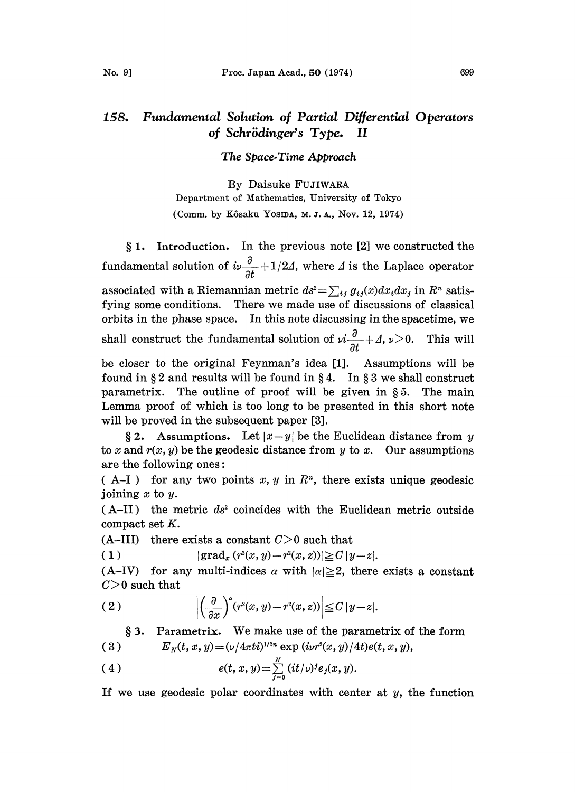## 158. Fundamental Solution of Partial Differential Operators of Schrödinger's Type. II

The Space.Time Approach

By Daisuke FUJIWARA Department of Mathematics, University of Tokyo (Comm. by Kôsaku Yosina, M.J.A., Nov. 12, 1974)

 $§ 1.$  Introduction. In the previous note  $[2]$  we constructed the fundamental solution of  $i\nu\frac{\partial}{\partial t}+1/2\Lambda$ , where  $\Lambda$  is the Laplace operator associated with a Riemannian metric  $ds^2 = \sum_{i,j} g_{ij}(x) dx_i dx_j$  in  $R^n$  satisfying some conditions. There we made use of discussions of classical orbits in the phase space. In this note discussing in the spacetime, we shall construct the fundamental solution of  $\nu i \frac{\partial}{\partial t} + \Delta$ ,  $\nu > 0$ . This will

be closer to the original Feynman's idea [1]. Assumptions will be found in  $\S 2$  and results will be found in  $\S 4$ . In  $\S 3$  we shall construct parametrix. The outline of proof will be given in  $\S 5$ . The main Lemma proof of which is too long to be presented in this short note will be proved in the subsequent paper [3].

§ 2. Assumptions. Let  $|x-y|$  be the Euclidean distance from y to x and  $r(x, y)$  be the geodesic distance from y to x. Our assumptions are the following ones:

( A-I ) for any two points x, y in  $\mathbb{R}^n$ , there exists unique geodesic joining  $x$  to  $y$ .

 $(A-II)$  the metric ds<sup>2</sup> coincides with the Euclidean metric outside compact set K.

(A-III) there exists a constant  $C>0$  such that

( 1 )  $|\text{grad}_x (r^2(x, y) - r^2(x, z))| \ge C |y - z|.$ 

(A-IV) for any multi-indices  $\alpha$  with  $|\alpha| \geq 2$ , there exists a constant  $C>0$  such that

(2) 
$$
\left| \left( \frac{\partial}{\partial x} \right)^{x} (r^{2}(x, y) - r^{2}(x, z)) \right| \leq C |y - z|.
$$

 $§ 3.$  Parametrix. We make use of the parametrix of the form (3) **E**<sub>N</sub>(t, x, y)=(v/4 $\pi t$ i)<sup>1/2n</sup> exp (ivr<sup>2</sup>(x, y)/4t)e(t, x, y),

(4) 
$$
e(t, x, y) = \sum_{j=0}^{N} (it/\nu)^{j} e_{j}(x, y).
$$

If we use geodesic polar coordinates with center at  $y$ , the function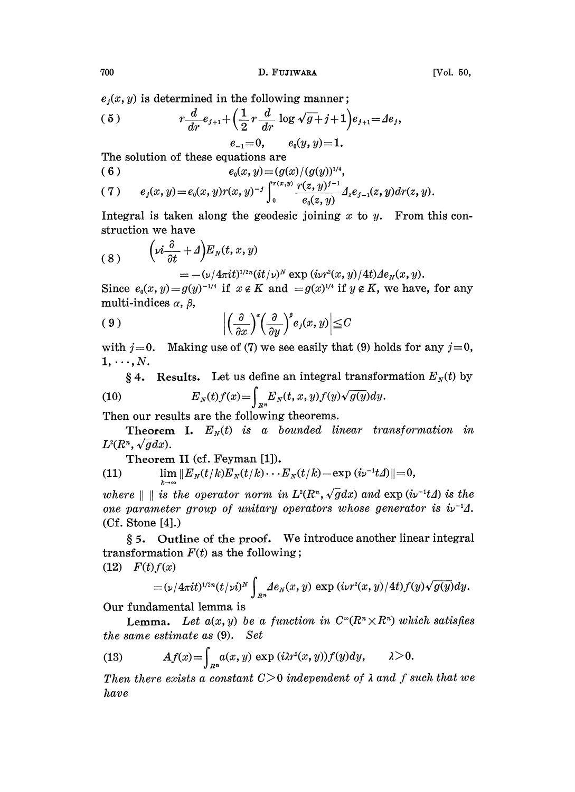700 **D. FUJIWARA** [Vol. 50,

 $e_i(x, y)$  is determined in the following manner;

(5) 
$$
r\frac{d}{dr}e_{j+1} + \left(\frac{1}{2}r\frac{d}{dr}\log \sqrt{g} + j + 1\right)e_{j+1} = Ae_j,
$$

$$
e_{-1} = 0, \qquad e_0(y, y) = 1.
$$

The solution ot these equations are

$$
(6) \t\t e_0(x,y)=(g(x)/(g(y))^{1/4},
$$

(7) 
$$
e_j(x, y) = e_0(x, y) r(x, y)^{-j} \int_0^{r(x, y)} \frac{r(z, y)^{j-1}}{e_0(z, y)} \Delta_z e_{j-1}(z, y) dr(z, y).
$$

Integral is taken along the geodesic joining  $x$  to  $y$ . From this construction we have

(8) 
$$
\left(vi\frac{\partial}{\partial t} + \Delta\right)E_N(t, x, y) = -\frac{(\nu/4\pi i t)^{1/2n}(it/\nu)^N \exp(i\nu r^2(x, y)/4t)}{2} \, e_N(x, y).
$$

Since  $e_0(x, y) = g(y)^{-1/4}$  if  $x \notin K$  and  $=g(x)^{1/4}$  if  $y \notin K$ , we have, for any multi-indices  $\alpha$ ,  $\beta$ ,

$$
(9) \qquad \qquad \bigg| \left( \frac{\partial}{\partial x} \right)^s \left( \frac{\partial}{\partial y} \right)^b e_j(x, y) \bigg| \leq C
$$

with  $j=0$ . Making use of (7) we see easily that (9) holds for any  $j=0$ ,  $1, \ldots, N$ .

§ 4. Results. Let us define an integral transformation  $E<sub>N</sub>(t)$  by (10)  $E_N(t) f(x) = \int_{R^n} E_N(t, x, y) f(y) \sqrt{g(y)} dy.$ 

Then our results are the following theorems.

**Theorem I.**  $E_N(t)$  is a bounded linear transformation in  $L^2(R^n, \sqrt{g}dx)$ .

Theorem II (cf. Feyman [1]).

(11) 
$$
\lim_{k\to\infty}||E_N(t/k)E_N(t/k)\cdots E_N(t/k)-\exp(i\nu^{-1}t\Delta)||=0,
$$

where  $\|\ \|$  is the operator norm in  $L^2(R^n, \sqrt{g}dx)$  and  $\exp(i\nu^{-1}tA)$  is the one parameter group of unitary operators whose generator is  $\dot{\mathbf{w}}^{-1}\mathbf{\Lambda}$ . (Ct. Stone [4].)

5. Outline of the proof. We introduce another linear integral transformation  $F(t)$  as the following;  $f(12)$   $F(t) f(x)$ 

$$
=(\nu/4\pi i t)^{1/2n}(t/\nu i)^N\int_{R^n}\hspace{-0.1cm}de_N(x,y)\,\exp{(i\nu r^2(x,y)/4t)}f(y)\sqrt{g(y)}dy.
$$

Our fundamental lemma is

**Lemma.** Let  $a(x, y)$  be a function in  $C^{\infty}(R^n \times R^n)$  which satisfies the same estimate as (9). Set

(13) 
$$
Af(x) = \int_{R^n} a(x, y) \exp(i\lambda r^2(x, y)) f(y) dy, \qquad \lambda > 0.
$$

Then there exists a constant  $C>0$  independent of  $\lambda$  and  $f$  such that we have